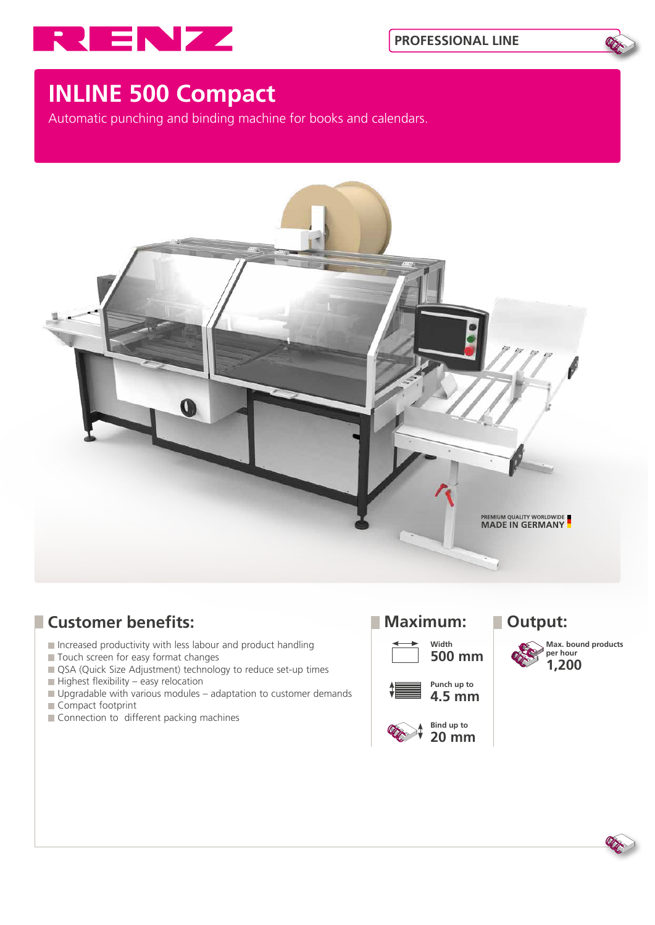



# **INLINE 500 Compact**

Automatic punching and binding machine for books and calendars.



## **Customer benefits:** Maximum: Dutput:

- Increased productivity with less labour and product handling
- Touch screen for easy format changes
- QSA (Quick Size Adjustment) technology to reduce set-up times
- $\blacksquare$  Highest flexibility easy relocation
- Upgradable with various modules adaptation to customer demands Compact footprint
- Connection to different packing machines